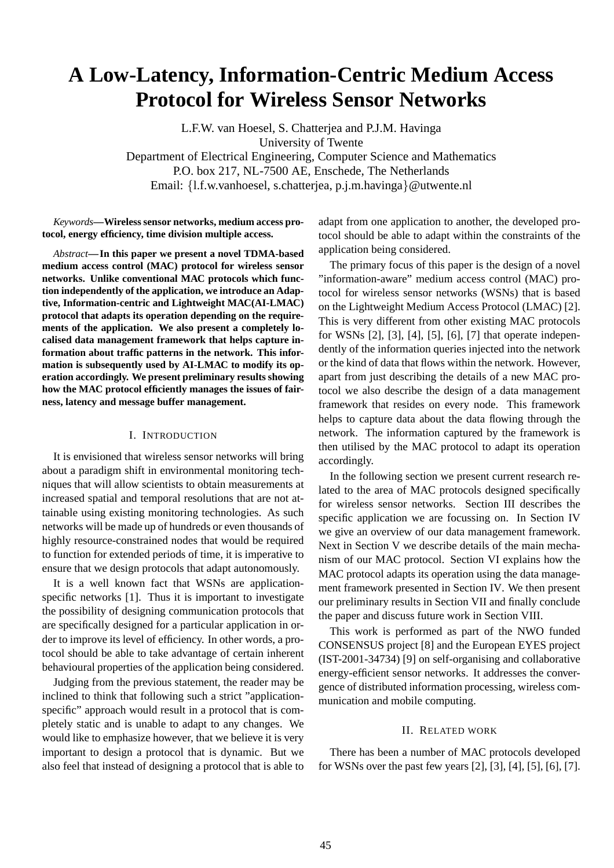# **A Low-Latency, Information-Centric Medium Access Protocol for Wireless Sensor Networks**

L.F.W. van Hoesel, S. Chatterjea and P.J.M. Havinga University of Twente Department of Electrical Engineering, Computer Science and Mathematics P.O. box 217, NL-7500 AE, Enschede, The Netherlands Email: {l.f.w.vanhoesel, s.chatterjea, p.j.m.havinga}@utwente.nl

*Keywords***—Wireless sensor networks, medium access protocol, energy efficiency, time division multiple access.**

*Abstract***—In this paper we present a novel TDMA-based medium access control (MAC) protocol for wireless sensor networks. Unlike conventional MAC protocols which function independently of the application, we introduce an Adaptive, Information-centric and Lightweight MAC(AI-LMAC) protocol that adapts its operation depending on the requirements of the application. We also present a completely localised data management framework that helps capture information about traffic patterns in the network. This information is subsequently used by AI-LMAC to modify its operation accordingly. We present preliminary results showing how the MAC protocol efficiently manages the issues of fairness, latency and message buffer management.**

# I. INTRODUCTION

It is envisioned that wireless sensor networks will bring about a paradigm shift in environmental monitoring techniques that will allow scientists to obtain measurements at increased spatial and temporal resolutions that are not attainable using existing monitoring technologies. As such networks will be made up of hundreds or even thousands of highly resource-constrained nodes that would be required to function for extended periods of time, it is imperative to ensure that we design protocols that adapt autonomously.

It is a well known fact that WSNs are applicationspecific networks [1]. Thus it is important to investigate the possibility of designing communication protocols that are specifically designed for a particular application in order to improve its level of efficiency. In other words, a protocol should be able to take advantage of certain inherent behavioural properties of the application being considered.

Judging from the previous statement, the reader may be inclined to think that following such a strict "applicationspecific" approach would result in a protocol that is completely static and is unable to adapt to any changes. We would like to emphasize however, that we believe it is very important to design a protocol that is dynamic. But we also feel that instead of designing a protocol that is able to

adapt from one application to another, the developed protocol should be able to adapt within the constraints of the application being considered.

The primary focus of this paper is the design of a novel "information-aware" medium access control (MAC) protocol for wireless sensor networks (WSNs) that is based on the Lightweight Medium Access Protocol (LMAC) [2]. This is very different from other existing MAC protocols for WSNs [2], [3], [4], [5], [6], [7] that operate independently of the information queries injected into the network or the kind of data that flows within the network. However, apart from just describing the details of a new MAC protocol we also describe the design of a data management framework that resides on every node. This framework helps to capture data about the data flowing through the network. The information captured by the framework is then utilised by the MAC protocol to adapt its operation accordingly.

In the following section we present current research related to the area of MAC protocols designed specifically for wireless sensor networks. Section III describes the specific application we are focussing on. In Section IV we give an overview of our data management framework. Next in Section V we describe details of the main mechanism of our MAC protocol. Section VI explains how the MAC protocol adapts its operation using the data management framework presented in Section IV. We then present our preliminary results in Section VII and finally conclude the paper and discuss future work in Section VIII.

This work is performed as part of the NWO funded CONSENSUS project [8] and the European EYES project (IST-2001-34734) [9] on self-organising and collaborative energy-efficient sensor networks. It addresses the convergence of distributed information processing, wireless communication and mobile computing.

### II. RELATED WORK

There has been a number of MAC protocols developed for WSNs over the past few years [2], [3], [4], [5], [6], [7].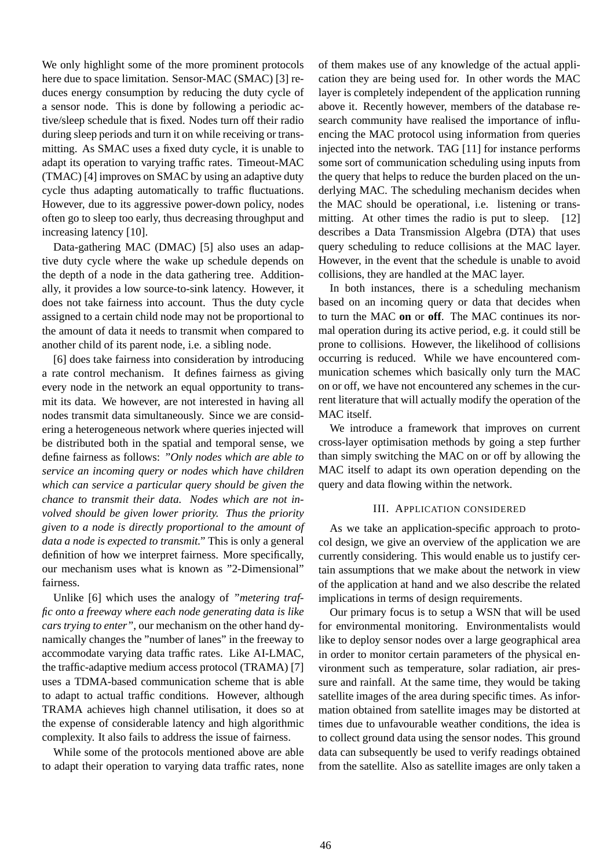We only highlight some of the more prominent protocols here due to space limitation. Sensor-MAC (SMAC) [3] reduces energy consumption by reducing the duty cycle of a sensor node. This is done by following a periodic active/sleep schedule that is fixed. Nodes turn off their radio during sleep periods and turn it on while receiving or transmitting. As SMAC uses a fixed duty cycle, it is unable to adapt its operation to varying traffic rates. Timeout-MAC (TMAC) [4] improves on SMAC by using an adaptive duty cycle thus adapting automatically to traffic fluctuations. However, due to its aggressive power-down policy, nodes often go to sleep too early, thus decreasing throughput and increasing latency [10].

Data-gathering MAC (DMAC) [5] also uses an adaptive duty cycle where the wake up schedule depends on the depth of a node in the data gathering tree. Additionally, it provides a low source-to-sink latency. However, it does not take fairness into account. Thus the duty cycle assigned to a certain child node may not be proportional to the amount of data it needs to transmit when compared to another child of its parent node, i.e. a sibling node.

[6] does take fairness into consideration by introducing a rate control mechanism. It defines fairness as giving every node in the network an equal opportunity to transmit its data. We however, are not interested in having all nodes transmit data simultaneously. Since we are considering a heterogeneous network where queries injected will be distributed both in the spatial and temporal sense, we define fairness as follows: *"Only nodes which are able to service an incoming query or nodes which have children which can service a particular query should be given the chance to transmit their data. Nodes which are not involved should be given lower priority. Thus the priority given to a node is directly proportional to the amount of data a node is expected to transmit."* This is only a general definition of how we interpret fairness. More specifically, our mechanism uses what is known as "2-Dimensional" fairness.

Unlike [6] which uses the analogy of *"metering traffic onto a freeway where each node generating data is like cars trying to enter"*, our mechanism on the other hand dynamically changes the "number of lanes" in the freeway to accommodate varying data traffic rates. Like AI-LMAC, the traffic-adaptive medium access protocol (TRAMA) [7] uses a TDMA-based communication scheme that is able to adapt to actual traffic conditions. However, although TRAMA achieves high channel utilisation, it does so at the expense of considerable latency and high algorithmic complexity. It also fails to address the issue of fairness.

While some of the protocols mentioned above are able to adapt their operation to varying data traffic rates, none of them makes use of any knowledge of the actual application they are being used for. In other words the MAC layer is completely independent of the application running above it. Recently however, members of the database research community have realised the importance of influencing the MAC protocol using information from queries injected into the network. TAG [11] for instance performs some sort of communication scheduling using inputs from the query that helps to reduce the burden placed on the underlying MAC. The scheduling mechanism decides when the MAC should be operational, i.e. listening or transmitting. At other times the radio is put to sleep. [12] describes a Data Transmission Algebra (DTA) that uses query scheduling to reduce collisions at the MAC layer. However, in the event that the schedule is unable to avoid collisions, they are handled at the MAC layer.

In both instances, there is a scheduling mechanism based on an incoming query or data that decides when to turn the MAC **on** or **off**. The MAC continues its normal operation during its active period, e.g. it could still be prone to collisions. However, the likelihood of collisions occurring is reduced. While we have encountered communication schemes which basically only turn the MAC on or off, we have not encountered any schemes in the current literature that will actually modify the operation of the MAC itself.

We introduce a framework that improves on current cross-layer optimisation methods by going a step further than simply switching the MAC on or off by allowing the MAC itself to adapt its own operation depending on the query and data flowing within the network.

## III. APPLICATION CONSIDERED

As we take an application-specific approach to protocol design, we give an overview of the application we are currently considering. This would enable us to justify certain assumptions that we make about the network in view of the application at hand and we also describe the related implications in terms of design requirements.

Our primary focus is to setup a WSN that will be used for environmental monitoring. Environmentalists would like to deploy sensor nodes over a large geographical area in order to monitor certain parameters of the physical environment such as temperature, solar radiation, air pressure and rainfall. At the same time, they would be taking satellite images of the area during specific times. As information obtained from satellite images may be distorted at times due to unfavourable weather conditions, the idea is to collect ground data using the sensor nodes. This ground data can subsequently be used to verify readings obtained from the satellite. Also as satellite images are only taken a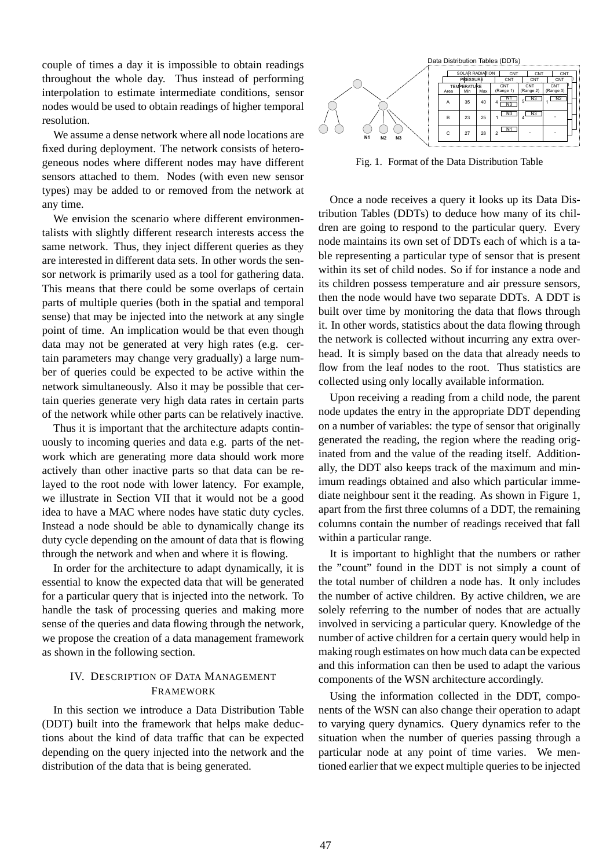couple of times a day it is impossible to obtain readings throughout the whole day. Thus instead of performing interpolation to estimate intermediate conditions, sensor nodes would be used to obtain readings of higher temporal resolution.

We assume a dense network where all node locations are fixed during deployment. The network consists of heterogeneous nodes where different nodes may have different sensors attached to them. Nodes (with even new sensor types) may be added to or removed from the network at any time.

We envision the scenario where different environmentalists with slightly different research interests access the same network. Thus, they inject different queries as they are interested in different data sets. In other words the sensor network is primarily used as a tool for gathering data. This means that there could be some overlaps of certain parts of multiple queries (both in the spatial and temporal sense) that may be injected into the network at any single point of time. An implication would be that even though data may not be generated at very high rates (e.g. certain parameters may change very gradually) a large number of queries could be expected to be active within the network simultaneously. Also it may be possible that certain queries generate very high data rates in certain parts of the network while other parts can be relatively inactive.

Thus it is important that the architecture adapts continuously to incoming queries and data e.g. parts of the network which are generating more data should work more actively than other inactive parts so that data can be relayed to the root node with lower latency. For example, we illustrate in Section VII that it would not be a good idea to have a MAC where nodes have static duty cycles. Instead a node should be able to dynamically change its duty cycle depending on the amount of data that is flowing through the network and when and where it is flowing.

In order for the architecture to adapt dynamically, it is essential to know the expected data that will be generated for a particular query that is injected into the network. To handle the task of processing queries and making more sense of the queries and data flowing through the network, we propose the creation of a data management framework as shown in the following section.

# IV. DESCRIPTION OF DATA MANAGEMENT FRAMEWORK

In this section we introduce a Data Distribution Table (DDT) built into the framework that helps make deductions about the kind of data traffic that can be expected depending on the query injected into the network and the distribution of the data that is being generated.



Fig. 1. Format of the Data Distribution Table

Once a node receives a query it looks up its Data Distribution Tables (DDTs) to deduce how many of its children are going to respond to the particular query. Every node maintains its own set of DDTs each of which is a table representing a particular type of sensor that is present within its set of child nodes. So if for instance a node and its children possess temperature and air pressure sensors, then the node would have two separate DDTs. A DDT is built over time by monitoring the data that flows through it. In other words, statistics about the data flowing through the network is collected without incurring any extra overhead. It is simply based on the data that already needs to flow from the leaf nodes to the root. Thus statistics are collected using only locally available information.

Upon receiving a reading from a child node, the parent node updates the entry in the appropriate DDT depending on a number of variables: the type of sensor that originally generated the reading, the region where the reading originated from and the value of the reading itself. Additionally, the DDT also keeps track of the maximum and minimum readings obtained and also which particular immediate neighbour sent it the reading. As shown in Figure 1, apart from the first three columns of a DDT, the remaining columns contain the number of readings received that fall within a particular range.

It is important to highlight that the numbers or rather the "count" found in the DDT is not simply a count of the total number of children a node has. It only includes the number of active children. By active children, we are solely referring to the number of nodes that are actually involved in servicing a particular query. Knowledge of the number of active children for a certain query would help in making rough estimates on how much data can be expected and this information can then be used to adapt the various components of the WSN architecture accordingly.

Using the information collected in the DDT, components of the WSN can also change their operation to adapt to varying query dynamics. Query dynamics refer to the situation when the number of queries passing through a particular node at any point of time varies. We mentioned earlier that we expect multiple queries to be injected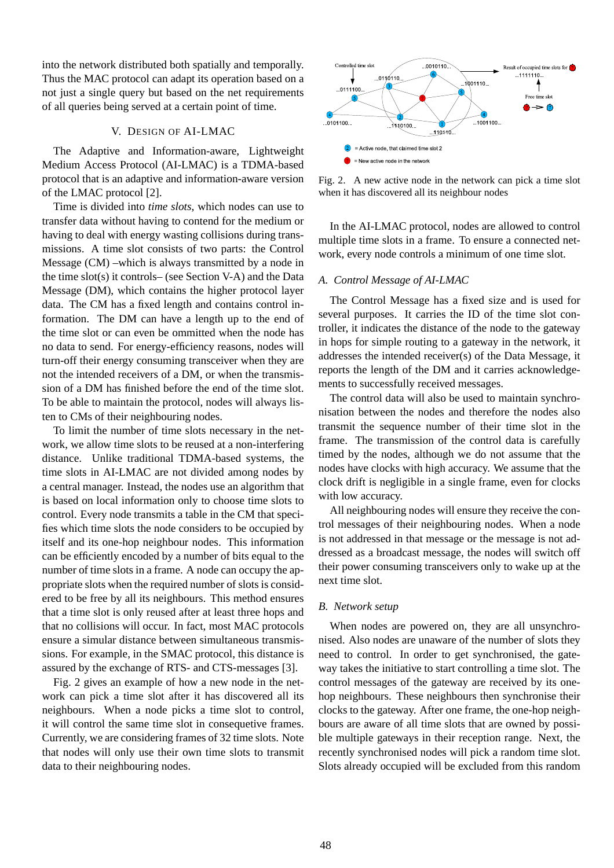into the network distributed both spatially and temporally. Thus the MAC protocol can adapt its operation based on a not just a single query but based on the net requirements of all queries being served at a certain point of time.

# V. DESIGN OF AI-LMAC

The Adaptive and Information-aware, Lightweight Medium Access Protocol (AI-LMAC) is a TDMA-based protocol that is an adaptive and information-aware version of the LMAC protocol [2].

Time is divided into *time slots*, which nodes can use to transfer data without having to contend for the medium or having to deal with energy wasting collisions during transmissions. A time slot consists of two parts: the Control Message (CM) –which is always transmitted by a node in the time slot(s) it controls– (see Section V-A) and the Data Message (DM), which contains the higher protocol layer data. The CM has a fixed length and contains control information. The DM can have a length up to the end of the time slot or can even be ommitted when the node has no data to send. For energy-efficiency reasons, nodes will turn-off their energy consuming transceiver when they are not the intended receivers of a DM, or when the transmission of a DM has finished before the end of the time slot. To be able to maintain the protocol, nodes will always listen to CMs of their neighbouring nodes.

To limit the number of time slots necessary in the network, we allow time slots to be reused at a non-interfering distance. Unlike traditional TDMA-based systems, the time slots in AI-LMAC are not divided among nodes by a central manager. Instead, the nodes use an algorithm that is based on local information only to choose time slots to control. Every node transmits a table in the CM that specifies which time slots the node considers to be occupied by itself and its one-hop neighbour nodes. This information can be efficiently encoded by a number of bits equal to the number of time slots in a frame. A node can occupy the appropriate slots when the required number of slots is considered to be free by all its neighbours. This method ensures that a time slot is only reused after at least three hops and that no collisions will occur. In fact, most MAC protocols ensure a simular distance between simultaneous transmissions. For example, in the SMAC protocol, this distance is assured by the exchange of RTS- and CTS-messages [3].

Fig. 2 gives an example of how a new node in the network can pick a time slot after it has discovered all its neighbours. When a node picks a time slot to control, it will control the same time slot in consequetive frames. Currently, we are considering frames of 32 time slots. Note that nodes will only use their own time slots to transmit data to their neighbouring nodes.



Fig. 2. A new active node in the network can pick a time slot when it has discovered all its neighbour nodes

In the AI-LMAC protocol, nodes are allowed to control multiple time slots in a frame. To ensure a connected network, every node controls a minimum of one time slot.

#### *A. Control Message of AI-LMAC*

The Control Message has a fixed size and is used for several purposes. It carries the ID of the time slot controller, it indicates the distance of the node to the gateway in hops for simple routing to a gateway in the network, it addresses the intended receiver(s) of the Data Message, it reports the length of the DM and it carries acknowledgements to successfully received messages.

The control data will also be used to maintain synchronisation between the nodes and therefore the nodes also transmit the sequence number of their time slot in the frame. The transmission of the control data is carefully timed by the nodes, although we do not assume that the nodes have clocks with high accuracy. We assume that the clock drift is negligible in a single frame, even for clocks with low accuracy.

All neighbouring nodes will ensure they receive the control messages of their neighbouring nodes. When a node is not addressed in that message or the message is not addressed as a broadcast message, the nodes will switch off their power consuming transceivers only to wake up at the next time slot.

#### *B. Network setup*

When nodes are powered on, they are all unsynchronised. Also nodes are unaware of the number of slots they need to control. In order to get synchronised, the gateway takes the initiative to start controlling a time slot. The control messages of the gateway are received by its onehop neighbours. These neighbours then synchronise their clocks to the gateway. After one frame, the one-hop neighbours are aware of all time slots that are owned by possible multiple gateways in their reception range. Next, the recently synchronised nodes will pick a random time slot. Slots already occupied will be excluded from this random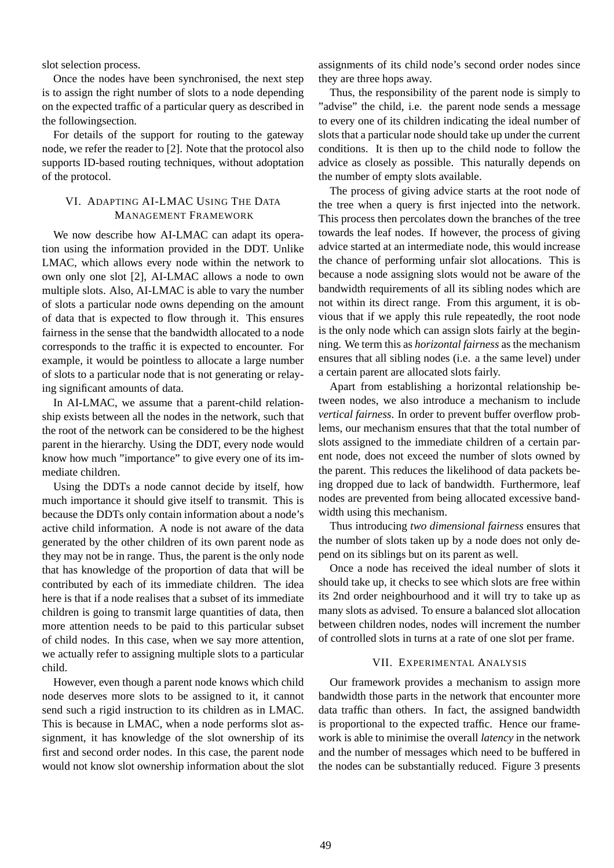slot selection process.

Once the nodes have been synchronised, the next step is to assign the right number of slots to a node depending on the expected traffic of a particular query as described in the followingsection.

For details of the support for routing to the gateway node, we refer the reader to [2]. Note that the protocol also supports ID-based routing techniques, without adoptation of the protocol.

# VI. ADAPTING AI-LMAC USING THE DATA MANAGEMENT FRAMEWORK

We now describe how AI-LMAC can adapt its operation using the information provided in the DDT. Unlike LMAC, which allows every node within the network to own only one slot [2], AI-LMAC allows a node to own multiple slots. Also, AI-LMAC is able to vary the number of slots a particular node owns depending on the amount of data that is expected to flow through it. This ensures fairness in the sense that the bandwidth allocated to a node corresponds to the traffic it is expected to encounter. For example, it would be pointless to allocate a large number of slots to a particular node that is not generating or relaying significant amounts of data.

In AI-LMAC, we assume that a parent-child relationship exists between all the nodes in the network, such that the root of the network can be considered to be the highest parent in the hierarchy. Using the DDT, every node would know how much "importance" to give every one of its immediate children.

Using the DDTs a node cannot decide by itself, how much importance it should give itself to transmit. This is because the DDTs only contain information about a node's active child information. A node is not aware of the data generated by the other children of its own parent node as they may not be in range. Thus, the parent is the only node that has knowledge of the proportion of data that will be contributed by each of its immediate children. The idea here is that if a node realises that a subset of its immediate children is going to transmit large quantities of data, then more attention needs to be paid to this particular subset of child nodes. In this case, when we say more attention, we actually refer to assigning multiple slots to a particular child.

However, even though a parent node knows which child node deserves more slots to be assigned to it, it cannot send such a rigid instruction to its children as in LMAC. This is because in LMAC, when a node performs slot assignment, it has knowledge of the slot ownership of its first and second order nodes. In this case, the parent node would not know slot ownership information about the slot assignments of its child node's second order nodes since they are three hops away.

Thus, the responsibility of the parent node is simply to "advise" the child, i.e. the parent node sends a message to every one of its children indicating the ideal number of slots that a particular node should take up under the current conditions. It is then up to the child node to follow the advice as closely as possible. This naturally depends on the number of empty slots available.

The process of giving advice starts at the root node of the tree when a query is first injected into the network. This process then percolates down the branches of the tree towards the leaf nodes. If however, the process of giving advice started at an intermediate node, this would increase the chance of performing unfair slot allocations. This is because a node assigning slots would not be aware of the bandwidth requirements of all its sibling nodes which are not within its direct range. From this argument, it is obvious that if we apply this rule repeatedly, the root node is the only node which can assign slots fairly at the beginning. We term this as *horizontal fairness* as the mechanism ensures that all sibling nodes (i.e. a the same level) under a certain parent are allocated slots fairly.

Apart from establishing a horizontal relationship between nodes, we also introduce a mechanism to include *vertical fairness*. In order to prevent buffer overflow problems, our mechanism ensures that that the total number of slots assigned to the immediate children of a certain parent node, does not exceed the number of slots owned by the parent. This reduces the likelihood of data packets being dropped due to lack of bandwidth. Furthermore, leaf nodes are prevented from being allocated excessive bandwidth using this mechanism.

Thus introducing *two dimensional fairness* ensures that the number of slots taken up by a node does not only depend on its siblings but on its parent as well.

Once a node has received the ideal number of slots it should take up, it checks to see which slots are free within its 2nd order neighbourhood and it will try to take up as many slots as advised. To ensure a balanced slot allocation between children nodes, nodes will increment the number of controlled slots in turns at a rate of one slot per frame.

# VII. EXPERIMENTAL ANALYSIS

Our framework provides a mechanism to assign more bandwidth those parts in the network that encounter more data traffic than others. In fact, the assigned bandwidth is proportional to the expected traffic. Hence our framework is able to minimise the overall *latency* in the network and the number of messages which need to be buffered in the nodes can be substantially reduced. Figure 3 presents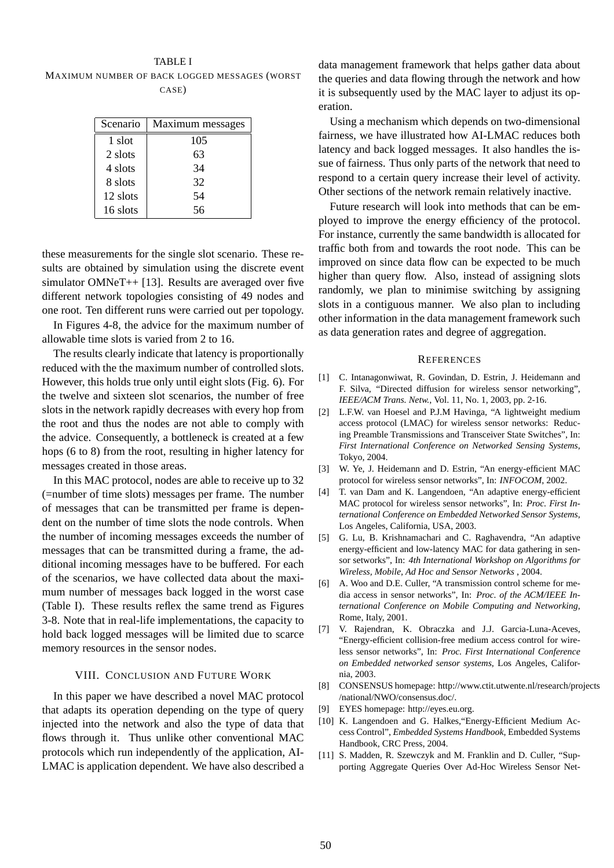## TABLE I

MAXIMUM NUMBER OF BACK LOGGED MESSAGES (WORST CASE)

| Scenario | Maximum messages |
|----------|------------------|
| 1 slot   | 105              |
| 2 slots  | 63               |
| 4 slots  | 34               |
| 8 slots  | 32               |
| 12 slots | 54               |
| 16 slots | 56               |

these measurements for the single slot scenario. These results are obtained by simulation using the discrete event simulator OMNeT++ [13]. Results are averaged over five different network topologies consisting of 49 nodes and one root. Ten different runs were carried out per topology.

In Figures 4-8, the advice for the maximum number of allowable time slots is varied from 2 to 16.

The results clearly indicate that latency is proportionally reduced with the the maximum number of controlled slots. However, this holds true only until eight slots (Fig. 6). For the twelve and sixteen slot scenarios, the number of free slots in the network rapidly decreases with every hop from the root and thus the nodes are not able to comply with the advice. Consequently, a bottleneck is created at a few hops (6 to 8) from the root, resulting in higher latency for messages created in those areas.

In this MAC protocol, nodes are able to receive up to 32 (=number of time slots) messages per frame. The number of messages that can be transmitted per frame is dependent on the number of time slots the node controls. When the number of incoming messages exceeds the number of messages that can be transmitted during a frame, the additional incoming messages have to be buffered. For each of the scenarios, we have collected data about the maximum number of messages back logged in the worst case (Table I). These results reflex the same trend as Figures 3-8. Note that in real-life implementations, the capacity to hold back logged messages will be limited due to scarce memory resources in the sensor nodes.

## VIII. CONCLUSION AND FUTURE WORK

In this paper we have described a novel MAC protocol that adapts its operation depending on the type of query injected into the network and also the type of data that flows through it. Thus unlike other conventional MAC protocols which run independently of the application, AI-LMAC is application dependent. We have also described a data management framework that helps gather data about the queries and data flowing through the network and how it is subsequently used by the MAC layer to adjust its operation.

Using a mechanism which depends on two-dimensional fairness, we have illustrated how AI-LMAC reduces both latency and back logged messages. It also handles the issue of fairness. Thus only parts of the network that need to respond to a certain query increase their level of activity. Other sections of the network remain relatively inactive.

Future research will look into methods that can be employed to improve the energy efficiency of the protocol. For instance, currently the same bandwidth is allocated for traffic both from and towards the root node. This can be improved on since data flow can be expected to be much higher than query flow. Also, instead of assigning slots randomly, we plan to minimise switching by assigning slots in a contiguous manner. We also plan to including other information in the data management framework such as data generation rates and degree of aggregation.

#### **REFERENCES**

- [1] C. Intanagonwiwat, R. Govindan, D. Estrin, J. Heidemann and F. Silva, "Directed diffusion for wireless sensor networking", *IEEE/ACM Trans. Netw.*, Vol. 11, No. 1, 2003, pp. 2-16.
- [2] L.F.W. van Hoesel and P.J.M Havinga, "A lightweight medium access protocol (LMAC) for wireless sensor networks: Reducing Preamble Transmissions and Transceiver State Switches", In: *First International Conference on Networked Sensing Systems*, Tokyo, 2004.
- [3] W. Ye, J. Heidemann and D. Estrin, "An energy-efficient MAC protocol for wireless sensor networks", In: *INFOCOM*, 2002.
- [4] T. van Dam and K. Langendoen, "An adaptive energy-efficient MAC protocol for wireless sensor networks", In: *Proc. First International Conference on Embedded Networked Sensor Systems*, Los Angeles, California, USA, 2003.
- [5] G. Lu, B. Krishnamachari and C. Raghavendra, "An adaptive energy-efficient and low-latency MAC for data gathering in sensor setworks", In: *4th International Workshop on Algorithms for Wireless, Mobile, Ad Hoc and Sensor Networks* , 2004.
- [6] A. Woo and D.E. Culler, "A transmission control scheme for media access in sensor networks", In: *Proc. of the ACM/IEEE International Conference on Mobile Computing and Networking*, Rome, Italy, 2001.
- [7] V. Rajendran, K. Obraczka and J.J. Garcia-Luna-Aceves, "Energy-efficient collision-free medium access control for wireless sensor networks", In: *Proc. First International Conference on Embedded networked sensor systems*, Los Angeles, California, 2003.
- [8] CONSENSUS homepage: http://www.ctit.utwente.nl/research/projects /national/NWO/consensus.doc/.
- [9] EYES homepage: http://eyes.eu.org.
- [10] K. Langendoen and G. Halkes, "Energy-Efficient Medium Access Control", *Embedded Systems Handbook*, Embedded Systems Handbook, CRC Press, 2004.
- [11] S. Madden, R. Szewczyk and M. Franklin and D. Culler, "Supporting Aggregate Queries Over Ad-Hoc Wireless Sensor Net-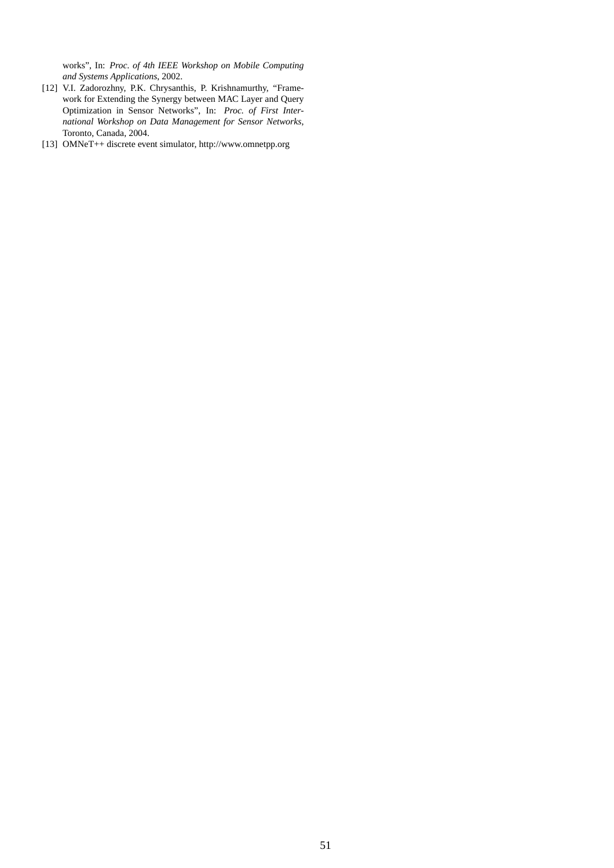works", In: *Proc. of 4th IEEE Workshop on Mobile Computing and Systems Applications*, 2002.

- [12] V.I. Zadorozhny, P.K. Chrysanthis, P. Krishnamurthy, "Framework for Extending the Synergy between MAC Layer and Query Optimization in Sensor Networks", In: *Proc. of First International Workshop on Data Management for Sensor Networks*, Toronto, Canada, 2004.
- [13] OMNeT++ discrete event simulator, http://www.omnetpp.org